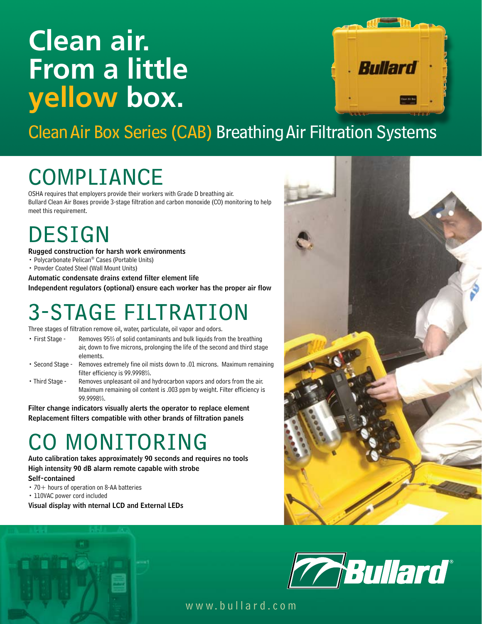# **Clean air. From a little yellow box.**



Clean Air Box Series (CAB) Breathing Air Filtration Systems

# **COMPLIANCE**

OSHA requires that employers provide their workers with Grade D breathing air. Bullard Clean Air Boxes provide 3-stage filtration and carbon monoxide (CO) monitoring to help meet this requirement.

## **DESIGN**

Rugged construction for harsh work environments

- Polycarbonate Pelican® Cases (Portable Units)
- Powder Coated Steel (Wall Mount Units)

Automatic condensate drains extend filter element life Independent regulators (optional) ensure each worker has the proper air flow

## 3-Stage Filtration

Three stages of filtration remove oil, water, particulate, oil vapor and odors.

- First Stage Removes 95% of solid contaminants and bulk liquids from the breathing air, down to five microns, prolonging the life of the second and third stage elements.
- Second Stage Removes extremely fine oil mists down to .01 microns. Maximum remaining filter efficiency is 99.9998%.
- Third Stage Removes unpleasant oil and hydrocarbon vapors and odors from the air. Maximum remaining oil content is .003 ppm by weight. Filter efficiency is 99.9998%.

Filter change indicators visually alerts the operator to replace element Replacement filters compatible with other brands of filtration panels

## MONITORING

Auto calibration takes approximately 90 seconds and requires no tools High intensity 90 dB alarm remote capable with strobe Self-contained

- $\cdot$  70 + hours of operation on 8-AA batteries
- 110VAC power cord included

Visual display with nternal LCD and External LEDs





www.bullard.com